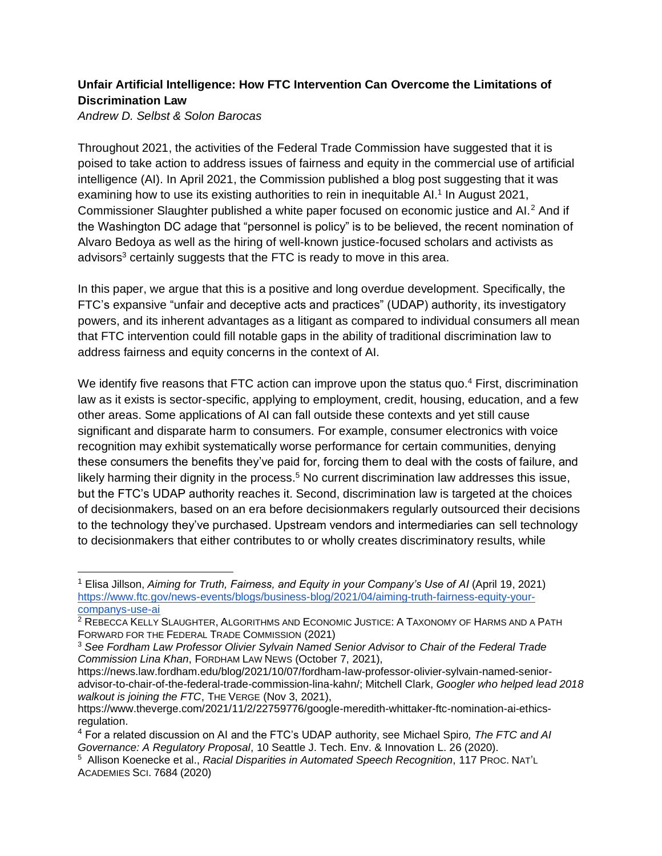## **Unfair Artificial Intelligence: How FTC Intervention Can Overcome the Limitations of Discrimination Law**

*Andrew D. Selbst & Solon Barocas*

Throughout 2021, the activities of the Federal Trade Commission have suggested that it is poised to take action to address issues of fairness and equity in the commercial use of artificial intelligence (AI). In April 2021, the Commission published a blog post suggesting that it was examining how to use its existing authorities to rein in inequitable Al.<sup>1</sup> In August 2021, Commissioner Slaughter published a white paper focused on economic justice and AI.<sup>2</sup> And if the Washington DC adage that "personnel is policy" is to be believed, the recent nomination of Alvaro Bedoya as well as the hiring of well-known justice-focused scholars and activists as advisors<sup>3</sup> certainly suggests that the FTC is ready to move in this area.

In this paper, we argue that this is a positive and long overdue development. Specifically, the FTC's expansive "unfair and deceptive acts and practices" (UDAP) authority, its investigatory powers, and its inherent advantages as a litigant as compared to individual consumers all mean that FTC intervention could fill notable gaps in the ability of traditional discrimination law to address fairness and equity concerns in the context of AI.

We identify five reasons that FTC action can improve upon the status quo.<sup>4</sup> First, discrimination law as it exists is sector-specific, applying to employment, credit, housing, education, and a few other areas. Some applications of AI can fall outside these contexts and yet still cause significant and disparate harm to consumers. For example, consumer electronics with voice recognition may exhibit systematically worse performance for certain communities, denying these consumers the benefits they've paid for, forcing them to deal with the costs of failure, and likely harming their dignity in the process.<sup>5</sup> No current discrimination law addresses this issue, but the FTC's UDAP authority reaches it. Second, discrimination law is targeted at the choices of decisionmakers, based on an era before decisionmakers regularly outsourced their decisions to the technology they've purchased. Upstream vendors and intermediaries can sell technology to decisionmakers that either contributes to or wholly creates discriminatory results, while

https://news.law.fordham.edu/blog/2021/10/07/fordham-law-professor-olivier-sylvain-named-senioradvisor-to-chair-of-the-federal-trade-commission-lina-kahn/; Mitchell Clark, *Googler who helped lead 2018 walkout is joining the FTC*, THE VERGE (Nov 3, 2021),

<sup>1</sup> Elisa Jillson, *Aiming for Truth, Fairness, and Equity in your Company's Use of AI* (April 19, 2021) [https://www.ftc.gov/news-events/blogs/business-blog/2021/04/aiming-truth-fairness-equity-your](https://www.ftc.gov/news-events/blogs/business-blog/2021/04/aiming-truth-fairness-equity-your-companys-use-ai)[companys-use-ai](https://www.ftc.gov/news-events/blogs/business-blog/2021/04/aiming-truth-fairness-equity-your-companys-use-ai)

<sup>&</sup>lt;sup>2</sup> REBECCA KELLY SLAUGHTER, ALGORITHMS AND ECONOMIC JUSTICE: A TAXONOMY OF HARMS AND A PATH FORWARD FOR THE FEDERAL TRADE COMMISSION (2021)

<sup>3</sup> *See Fordham Law Professor Olivier Sylvain Named Senior Advisor to Chair of the Federal Trade Commission Lina Khan*, FORDHAM LAW NEWS (October 7, 2021),

https://www.theverge.com/2021/11/2/22759776/google-meredith-whittaker-ftc-nomination-ai-ethicsregulation.

<sup>4</sup> For a related discussion on AI and the FTC's UDAP authority, see Michael Spiro*, The FTC and AI Governance: A Regulatory Proposal*, 10 Seattle J. Tech. Env. & Innovation L. 26 (2020).

<sup>5</sup> Allison Koenecke et al., *Racial Disparities in Automated Speech Recognition*, 117 PROC. NAT'L ACADEMIES SCI. 7684 (2020)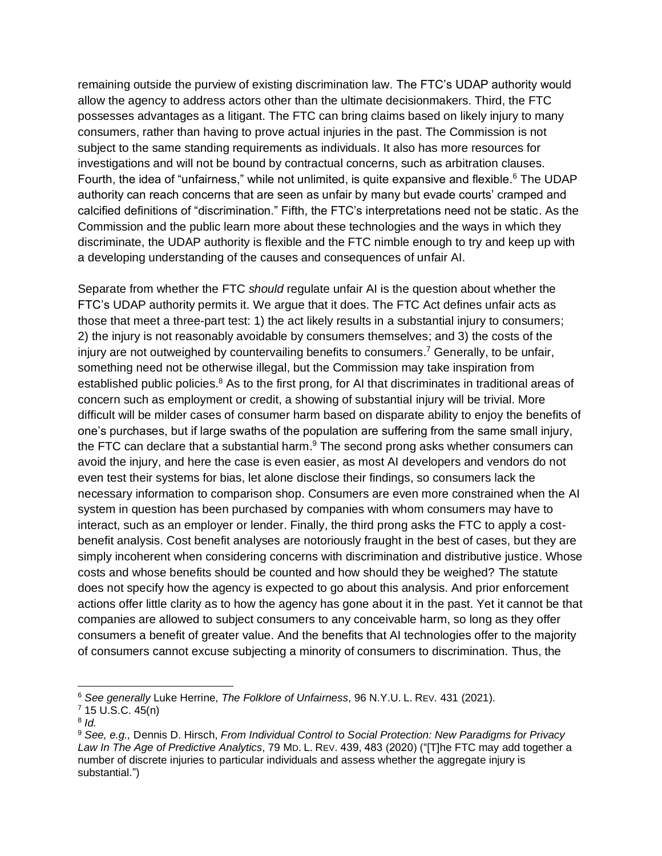remaining outside the purview of existing discrimination law. The FTC's UDAP authority would allow the agency to address actors other than the ultimate decisionmakers. Third, the FTC possesses advantages as a litigant. The FTC can bring claims based on likely injury to many consumers, rather than having to prove actual injuries in the past. The Commission is not subject to the same standing requirements as individuals. It also has more resources for investigations and will not be bound by contractual concerns, such as arbitration clauses. Fourth, the idea of "unfairness," while not unlimited, is quite expansive and flexible.<sup>6</sup> The UDAP authority can reach concerns that are seen as unfair by many but evade courts' cramped and calcified definitions of "discrimination." Fifth, the FTC's interpretations need not be static. As the Commission and the public learn more about these technologies and the ways in which they discriminate, the UDAP authority is flexible and the FTC nimble enough to try and keep up with a developing understanding of the causes and consequences of unfair AI.

Separate from whether the FTC *should* regulate unfair AI is the question about whether the FTC's UDAP authority permits it. We argue that it does. The FTC Act defines unfair acts as those that meet a three-part test: 1) the act likely results in a substantial injury to consumers; 2) the injury is not reasonably avoidable by consumers themselves; and 3) the costs of the injury are not outweighed by countervailing benefits to consumers.<sup>7</sup> Generally, to be unfair, something need not be otherwise illegal, but the Commission may take inspiration from established public policies.<sup>8</sup> As to the first prong, for AI that discriminates in traditional areas of concern such as employment or credit, a showing of substantial injury will be trivial. More difficult will be milder cases of consumer harm based on disparate ability to enjoy the benefits of one's purchases, but if large swaths of the population are suffering from the same small injury, the FTC can declare that a substantial harm.<sup>9</sup> The second prong asks whether consumers can avoid the injury, and here the case is even easier, as most AI developers and vendors do not even test their systems for bias, let alone disclose their findings, so consumers lack the necessary information to comparison shop. Consumers are even more constrained when the AI system in question has been purchased by companies with whom consumers may have to interact, such as an employer or lender. Finally, the third prong asks the FTC to apply a costbenefit analysis. Cost benefit analyses are notoriously fraught in the best of cases, but they are simply incoherent when considering concerns with discrimination and distributive justice. Whose costs and whose benefits should be counted and how should they be weighed? The statute does not specify how the agency is expected to go about this analysis. And prior enforcement actions offer little clarity as to how the agency has gone about it in the past. Yet it cannot be that companies are allowed to subject consumers to any conceivable harm, so long as they offer consumers a benefit of greater value. And the benefits that AI technologies offer to the majority of consumers cannot excuse subjecting a minority of consumers to discrimination. Thus, the

<sup>6</sup> *See generally* Luke Herrine, *The Folklore of Unfairness*, 96 N.Y.U. L. REV. 431 (2021).

 $7$  15 U.S.C. 45(n)

<sup>8</sup> *Id.*

<sup>9</sup> *See, e.g.,* Dennis D. Hirsch, *From Individual Control to Social Protection: New Paradigms for Privacy Law In The Age of Predictive Analytics*, 79 MD. L. REV. 439, 483 (2020) ("[T]he FTC may add together a number of discrete injuries to particular individuals and assess whether the aggregate injury is substantial.")